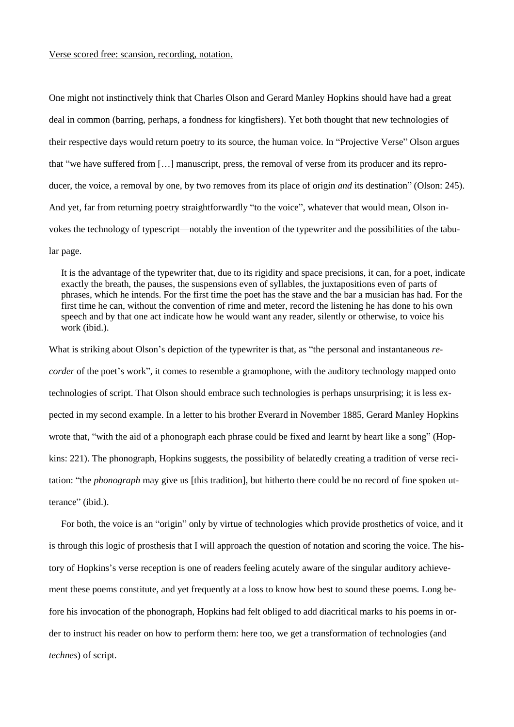## Verse scored free: scansion, recording, notation.

One might not instinctively think that Charles Olson and Gerard Manley Hopkins should have had a great deal in common (barring, perhaps, a fondness for kingfishers). Yet both thought that new technologies of their respective days would return poetry to its source, the human voice. In "Projective Verse" Olson argues that "we have suffered from […] manuscript, press, the removal of verse from its producer and its reproducer, the voice, a removal by one, by two removes from its place of origin *and* its destination" (Olson: 245). And yet, far from returning poetry straightforwardly "to the voice", whatever that would mean, Olson invokes the technology of typescript—notably the invention of the typewriter and the possibilities of the tabular page.

It is the advantage of the typewriter that, due to its rigidity and space precisions, it can, for a poet, indicate exactly the breath, the pauses, the suspensions even of syllables, the juxtapositions even of parts of phrases, which he intends. For the first time the poet has the stave and the bar a musician has had. For the first time he can, without the convention of rime and meter, record the listening he has done to his own speech and by that one act indicate how he would want any reader, silently or otherwise, to voice his work (ibid.).

What is striking about Olson's depiction of the typewriter is that, as "the personal and instantaneous *recorder* of the poet's work", it comes to resemble a gramophone, with the auditory technology mapped onto technologies of script. That Olson should embrace such technologies is perhaps unsurprising; it is less expected in my second example. In a letter to his brother Everard in November 1885, Gerard Manley Hopkins wrote that, "with the aid of a phonograph each phrase could be fixed and learnt by heart like a song" (Hopkins: 221). The phonograph, Hopkins suggests, the possibility of belatedly creating a tradition of verse recitation: "the *phonograph* may give us [this tradition], but hitherto there could be no record of fine spoken utterance" (ibid.).

For both, the voice is an "origin" only by virtue of technologies which provide prosthetics of voice, and it is through this logic of prosthesis that I will approach the question of notation and scoring the voice. The history of Hopkins's verse reception is one of readers feeling acutely aware of the singular auditory achievement these poems constitute, and yet frequently at a loss to know how best to sound these poems. Long before his invocation of the phonograph, Hopkins had felt obliged to add diacritical marks to his poems in order to instruct his reader on how to perform them: here too, we get a transformation of technologies (and *technes*) of script.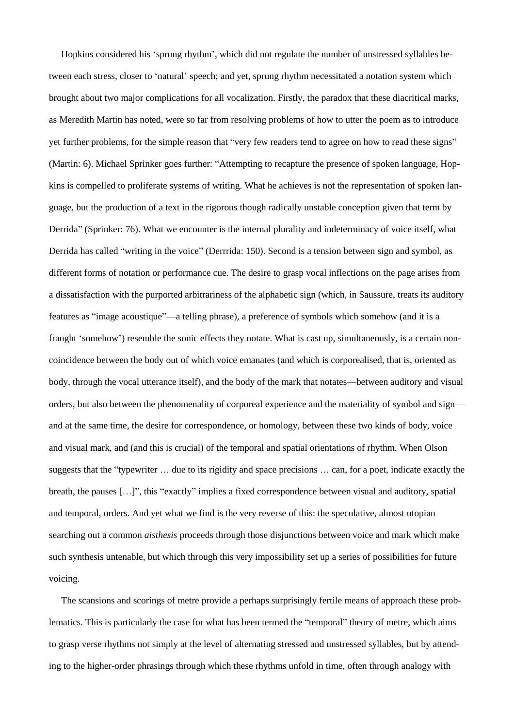Hopkins considered his 'sprung rhythm', which did not regulate the number of unstressed syllables between each stress, closer to 'natural' speech; and yet, sprung rhythm necessitated a notation system which brought about two major complications for all vocalization. Firstly, the paradox that these diacritical marks, as Meredith Martin has noted, were so far from resolving problems of how to utter the poem as to introduce yet further problems, for the simple reason that "very few readers tend to agree on how to read these signs" (Martin: 6). Michael Sprinker goes further: "Attempting to recapture the presence of spoken language, Hopkins is compelled to proliferate systems of writing. What he achieves is not the representation of spoken language, but the production of a text in the rigorous though radically unstable conception given that term by Derrida" (Sprinker: 76). What we encounter is the internal plurality and indeterminacy of voice itself, what Derrida has called "writing in the voice" (Derrrida: 150). Second is a tension between sign and symbol, as different forms of notation or performance cue. The desire to grasp vocal inflections on the page arises from a dissatisfaction with the purported arbitrariness of the alphabetic sign (which, in Saussure, treats its auditory features as "image acoustique"—a telling phrase), a preference of symbols which somehow (and it is a fraught 'somehow') resemble the sonic effects they notate. What is cast up, simultaneously, is a certain noncoincidence between the body out of which voice emanates (and which is corporealised, that is, oriented as body, through the vocal utterance itself), and the body of the mark that notates—between auditory and visual orders, but also between the phenomenality of corporeal experience and the materiality of symbol and sign and at the same time, the desire for correspondence, or homology, between these two kinds of body, voice and visual mark, and (and this is crucial) of the temporal and spatial orientations of rhythm. When Olson suggests that the "typewriter … due to its rigidity and space precisions … can, for a poet, indicate exactly the breath, the pauses […]", this "exactly" implies a fixed correspondence between visual and auditory, spatial and temporal, orders. And yet what we find is the very reverse of this: the speculative, almost utopian searching out a common *aisthesis* proceeds through those disjunctions between voice and mark which make such synthesis untenable, but which through this very impossibility set up a series of possibilities for future voicing.

The scansions and scorings of metre provide a perhaps surprisingly fertile means of approach these problematics. This is particularly the case for what has been termed the "temporal" theory of metre, which aims to grasp verse rhythms not simply at the level of alternating stressed and unstressed syllables, but by attending to the higher-order phrasings through which these rhythms unfold in time, often through analogy with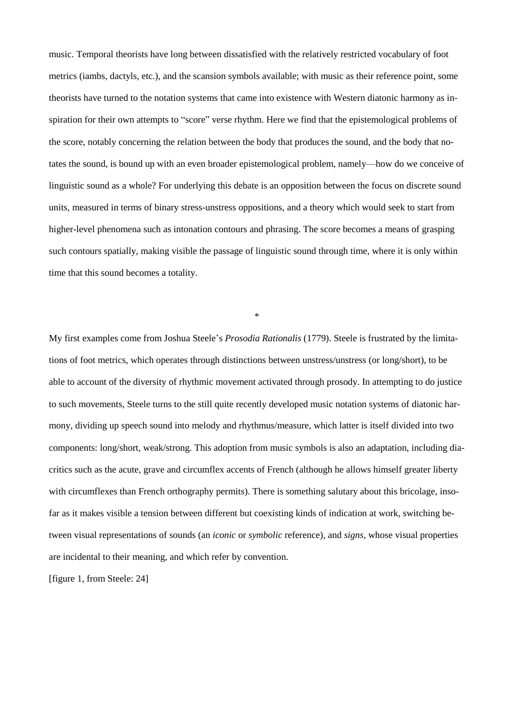music. Temporal theorists have long between dissatisfied with the relatively restricted vocabulary of foot metrics (iambs, dactyls, etc.), and the scansion symbols available; with music as their reference point, some theorists have turned to the notation systems that came into existence with Western diatonic harmony as inspiration for their own attempts to "score" verse rhythm. Here we find that the epistemological problems of the score, notably concerning the relation between the body that produces the sound, and the body that notates the sound, is bound up with an even broader epistemological problem, namely—how do we conceive of linguistic sound as a whole? For underlying this debate is an opposition between the focus on discrete sound units, measured in terms of binary stress-unstress oppositions, and a theory which would seek to start from higher-level phenomena such as intonation contours and phrasing. The score becomes a means of grasping such contours spatially, making visible the passage of linguistic sound through time, where it is only within time that this sound becomes a totality.

\*

My first examples come from Joshua Steele's *Prosodia Rationalis* (1779). Steele is frustrated by the limitations of foot metrics, which operates through distinctions between unstress/unstress (or long/short), to be able to account of the diversity of rhythmic movement activated through prosody. In attempting to do justice to such movements, Steele turns to the still quite recently developed music notation systems of diatonic harmony, dividing up speech sound into melody and rhythmus/measure, which latter is itself divided into two components: long/short, weak/strong. This adoption from music symbols is also an adaptation, including diacritics such as the acute, grave and circumflex accents of French (although he allows himself greater liberty with circumflexes than French orthography permits). There is something salutary about this bricolage, insofar as it makes visible a tension between different but coexisting kinds of indication at work, switching between visual representations of sounds (an *iconic* or *symbolic* reference), and *signs*, whose visual properties are incidental to their meaning, and which refer by convention.

[figure 1, from Steele: 24]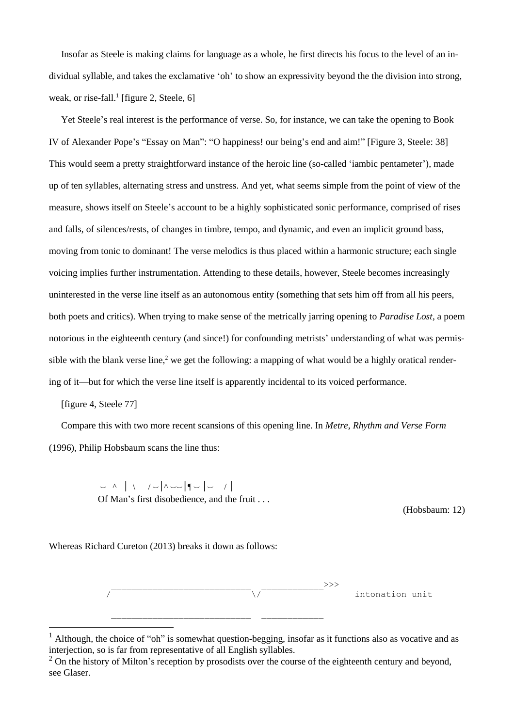Insofar as Steele is making claims for language as a whole, he first directs his focus to the level of an individual syllable, and takes the exclamative 'oh' to show an expressivity beyond the the division into strong, weak, or rise-fall.<sup>1</sup> [figure 2, Steele, 6]

Yet Steele's real interest is the performance of verse. So, for instance, we can take the opening to Book IV of Alexander Pope's "Essay on Man": "O happiness! our being's end and aim!" [Figure 3, Steele: 38] This would seem a pretty straightforward instance of the heroic line (so-called 'iambic pentameter'), made up of ten syllables, alternating stress and unstress. And yet, what seems simple from the point of view of the measure, shows itself on Steele's account to be a highly sophisticated sonic performance, comprised of rises and falls, of silences/rests, of changes in timbre, tempo, and dynamic, and even an implicit ground bass, moving from tonic to dominant! The verse melodics is thus placed within a harmonic structure; each single voicing implies further instrumentation. Attending to these details, however, Steele becomes increasingly uninterested in the verse line itself as an autonomous entity (something that sets him off from all his peers, both poets and critics). When trying to make sense of the metrically jarring opening to *Paradise Lost*, a poem notorious in the eighteenth century (and since!) for confounding metrists' understanding of what was permissible with the blank verse line,<sup>2</sup> we get the following: a mapping of what would be a highly oratical rendering of it—but for which the verse line itself is apparently incidental to its voiced performance.

[figure 4, Steele 77]

 $\overline{a}$ 

Compare this with two more recent scansions of this opening line. In *Metre*, *Rhythm and Verse Form* (1996), Philip Hobsbaum scans the line thus:

> $\sim$  ^ | \ /  $\sim$  |^  $\sim$  |¶  $\sim$  | $\sim$  /| Of Man's first disobedience, and the fruit . . .

> > (Hobsbaum: 12)

Whereas Richard Cureton (2013) breaks it down as follows:



<sup>&</sup>lt;sup>1</sup> Although, the choice of "oh" is somewhat question-begging, insofar as it functions also as vocative and as interjection, so is far from representative of all English syllables.

 $2$  On the history of Milton's reception by prosodists over the course of the eighteenth century and beyond, see Glaser.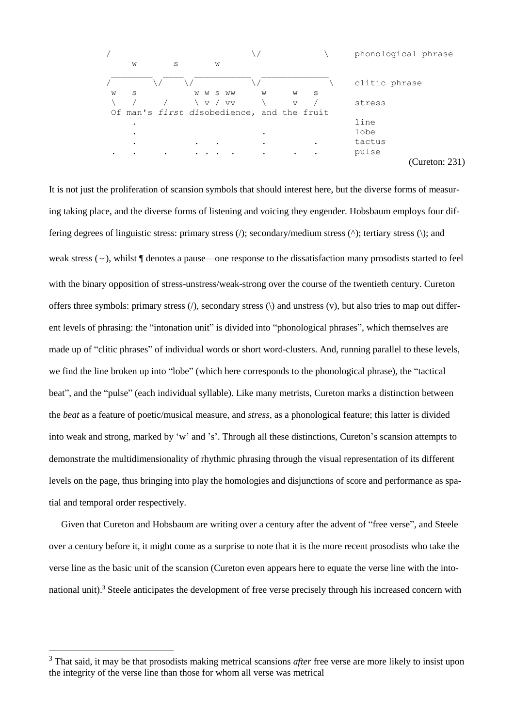|           |   |   |           |           |                                            | phonological phrase |
|-----------|---|---|-----------|-----------|--------------------------------------------|---------------------|
|           | W | S | W         |           |                                            |                     |
|           |   |   |           |           |                                            | clitic phrase       |
| W         | S |   | W W S WW  | W         | W<br>S                                     |                     |
|           |   |   | v / vv    |           | $\triangledown$                            | stress              |
|           |   |   |           |           | Of man's first disobedience, and the fruit |                     |
|           |   |   |           |           |                                            | line                |
|           |   |   |           | $\bullet$ |                                            | lobe                |
|           |   |   | $\bullet$ | $\bullet$ |                                            | tactus              |
| $\bullet$ |   | ٠ |           | ٠         |                                            | pulse               |
|           |   |   |           |           |                                            | (Cureton: 231       |

It is not just the proliferation of scansion symbols that should interest here, but the diverse forms of measuring taking place, and the diverse forms of listening and voicing they engender. Hobsbaum employs four differing degrees of linguistic stress: primary stress  $\langle \cdot \rangle$ ; secondary/medium stress  $\langle \cdot \rangle$ ; tertiary stress  $\langle \cdot \rangle$ ; and weak stress  $(\sim)$ , whilst  $\P$  denotes a pause—one response to the dissatisfaction many prosodists started to feel with the binary opposition of stress-unstress/weak-strong over the course of the twentieth century. Cureton offers three symbols: primary stress  $\langle \cdot \rangle$ , secondary stress  $\langle \cdot \rangle$  and unstress  $\langle \cdot \rangle$ , but also tries to map out different levels of phrasing: the "intonation unit" is divided into "phonological phrases", which themselves are made up of "clitic phrases" of individual words or short word-clusters. And, running parallel to these levels, we find the line broken up into "lobe" (which here corresponds to the phonological phrase), the "tactical beat", and the "pulse" (each individual syllable). Like many metrists, Cureton marks a distinction between the *beat* as a feature of poetic/musical measure, and *stress*, as a phonological feature; this latter is divided into weak and strong, marked by 'w' and 's'. Through all these distinctions, Cureton's scansion attempts to demonstrate the multidimensionality of rhythmic phrasing through the visual representation of its different levels on the page, thus bringing into play the homologies and disjunctions of score and performance as spatial and temporal order respectively.

Given that Cureton and Hobsbaum are writing over a century after the advent of "free verse", and Steele over a century before it, it might come as a surprise to note that it is the more recent prosodists who take the verse line as the basic unit of the scansion (Cureton even appears here to equate the verse line with the intonational unit).<sup>3</sup> Steele anticipates the development of free verse precisely through his increased concern with

<sup>&</sup>lt;sup>3</sup> That said, it may be that prosodists making metrical scansions *after* free verse are more likely to insist upon the integrity of the verse line than those for whom all verse was metrical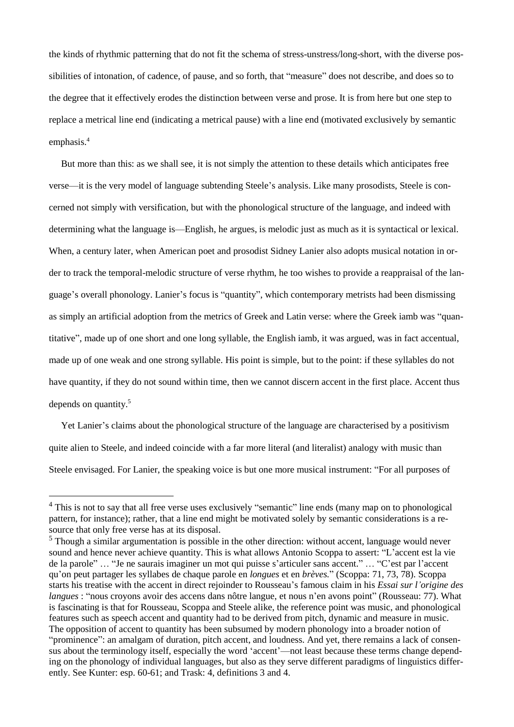the kinds of rhythmic patterning that do not fit the schema of stress-unstress/long-short, with the diverse possibilities of intonation, of cadence, of pause, and so forth, that "measure" does not describe, and does so to the degree that it effectively erodes the distinction between verse and prose. It is from here but one step to replace a metrical line end (indicating a metrical pause) with a line end (motivated exclusively by semantic emphasis.<sup>4</sup>

But more than this: as we shall see, it is not simply the attention to these details which anticipates free verse—it is the very model of language subtending Steele's analysis. Like many prosodists, Steele is concerned not simply with versification, but with the phonological structure of the language, and indeed with determining what the language is—English, he argues, is melodic just as much as it is syntactical or lexical. When, a century later, when American poet and prosodist Sidney Lanier also adopts musical notation in order to track the temporal-melodic structure of verse rhythm, he too wishes to provide a reappraisal of the language's overall phonology. Lanier's focus is "quantity", which contemporary metrists had been dismissing as simply an artificial adoption from the metrics of Greek and Latin verse: where the Greek iamb was "quantitative", made up of one short and one long syllable, the English iamb, it was argued, was in fact accentual, made up of one weak and one strong syllable. His point is simple, but to the point: if these syllables do not have quantity, if they do not sound within time, then we cannot discern accent in the first place. Accent thus depends on quantity. $5$ 

Yet Lanier's claims about the phonological structure of the language are characterised by a positivism quite alien to Steele, and indeed coincide with a far more literal (and literalist) analogy with music than Steele envisaged. For Lanier, the speaking voice is but one more musical instrument: "For all purposes of

<sup>&</sup>lt;sup>4</sup> This is not to say that all free verse uses exclusively "semantic" line ends (many map on to phonological pattern, for instance); rather, that a line end might be motivated solely by semantic considerations is a resource that only free verse has at its disposal.

<sup>&</sup>lt;sup>5</sup> Though a similar argumentation is possible in the other direction: without accent, language would never sound and hence never achieve quantity. This is what allows Antonio Scoppa to assert: "L'accent est la vie de la parole" … "Je ne saurais imaginer un mot qui puisse s'articuler sans accent." … "C'est par l'accent qu'on peut partager les syllabes de chaque parole en *longues* et en *brèves.*" (Scoppa: 71, 73, 78). Scoppa starts his treatise with the accent in direct rejoinder to Rousseau's famous claim in his *Essai sur l'origine des langues* : "nous croyons avoir des accens dans nôtre langue, et nous n'en avons point" (Rousseau: 77). What is fascinating is that for Rousseau, Scoppa and Steele alike, the reference point was music, and phonological features such as speech accent and quantity had to be derived from pitch, dynamic and measure in music. The opposition of accent to quantity has been subsumed by modern phonology into a broader notion of "prominence": an amalgam of duration, pitch accent, and loudness. And yet, there remains a lack of consensus about the terminology itself, especially the word 'accent'—not least because these terms change depending on the phonology of individual languages, but also as they serve different paradigms of linguistics differently. See Kunter: esp. 60-61; and Trask: 4, definitions 3 and 4.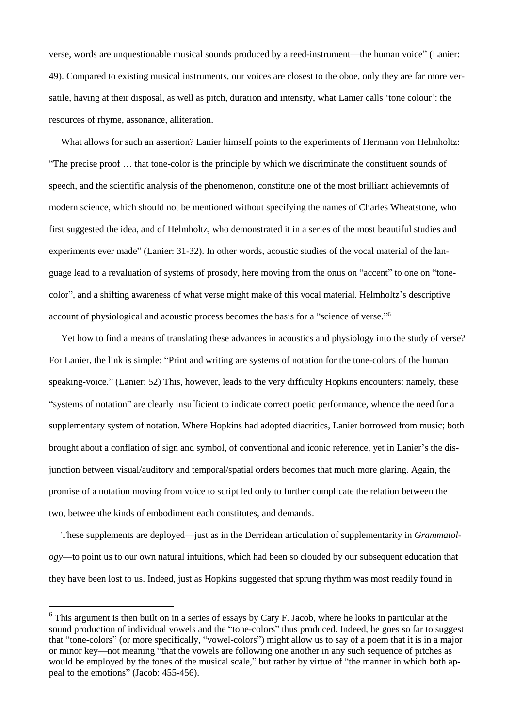verse, words are unquestionable musical sounds produced by a reed-instrument—the human voice" (Lanier: 49). Compared to existing musical instruments, our voices are closest to the oboe, only they are far more versatile, having at their disposal, as well as pitch, duration and intensity, what Lanier calls 'tone colour': the resources of rhyme, assonance, alliteration.

What allows for such an assertion? Lanier himself points to the experiments of Hermann von Helmholtz: "The precise proof … that tone-color is the principle by which we discriminate the constituent sounds of speech, and the scientific analysis of the phenomenon, constitute one of the most brilliant achievemnts of modern science, which should not be mentioned without specifying the names of Charles Wheatstone, who first suggested the idea, and of Helmholtz, who demonstrated it in a series of the most beautiful studies and experiments ever made" (Lanier: 31-32). In other words, acoustic studies of the vocal material of the language lead to a revaluation of systems of prosody, here moving from the onus on "accent" to one on "tonecolor", and a shifting awareness of what verse might make of this vocal material. Helmholtz's descriptive account of physiological and acoustic process becomes the basis for a "science of verse." 6

Yet how to find a means of translating these advances in acoustics and physiology into the study of verse? For Lanier, the link is simple: "Print and writing are systems of notation for the tone-colors of the human speaking-voice." (Lanier: 52) This, however, leads to the very difficulty Hopkins encounters: namely, these "systems of notation" are clearly insufficient to indicate correct poetic performance, whence the need for a supplementary system of notation. Where Hopkins had adopted diacritics, Lanier borrowed from music; both brought about a conflation of sign and symbol, of conventional and iconic reference, yet in Lanier's the disjunction between visual/auditory and temporal/spatial orders becomes that much more glaring. Again, the promise of a notation moving from voice to script led only to further complicate the relation between the two, betweenthe kinds of embodiment each constitutes, and demands.

These supplements are deployed—just as in the Derridean articulation of supplementarity in *Grammatology*—to point us to our own natural intuitions, which had been so clouded by our subsequent education that they have been lost to us. Indeed, just as Hopkins suggested that sprung rhythm was most readily found in

 $6$  This argument is then built on in a series of essays by Cary F. Jacob, where he looks in particular at the sound production of individual vowels and the "tone-colors" thus produced. Indeed, he goes so far to suggest that "tone-colors" (or more specifically, "vowel-colors") might allow us to say of a poem that it is in a major or minor key—not meaning "that the vowels are following one another in any such sequence of pitches as would be employed by the tones of the musical scale," but rather by virtue of "the manner in which both appeal to the emotions" (Jacob: 455-456).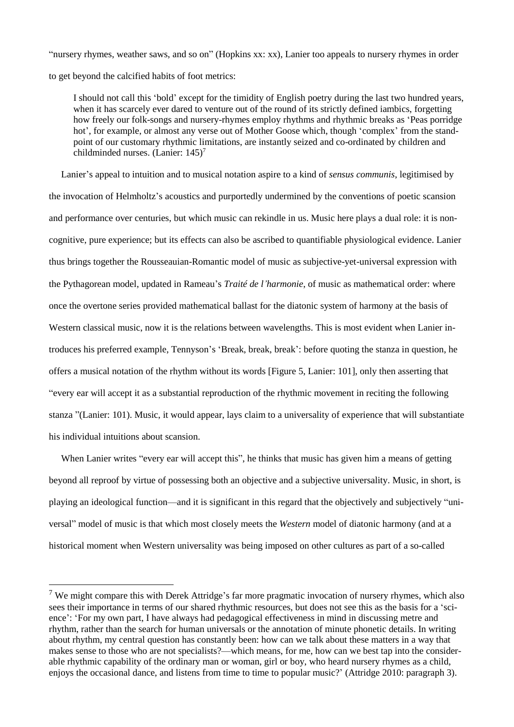"nursery rhymes, weather saws, and so on" (Hopkins xx: xx), Lanier too appeals to nursery rhymes in order to get beyond the calcified habits of foot metrics:

I should not call this 'bold' except for the timidity of English poetry during the last two hundred years, when it has scarcely ever dared to venture out of the round of its strictly defined iambics, forgetting how freely our folk-songs and nursery-rhymes employ rhythms and rhythmic breaks as 'Peas porridge hot', for example, or almost any verse out of Mother Goose which, though 'complex' from the standpoint of our customary rhythmic limitations, are instantly seized and co-ordinated by children and childminded nurses. (Lanier: 145)<sup>7</sup>

Lanier's appeal to intuition and to musical notation aspire to a kind of *sensus communis*, legitimised by the invocation of Helmholtz's acoustics and purportedly undermined by the conventions of poetic scansion and performance over centuries, but which music can rekindle in us. Music here plays a dual role: it is noncognitive, pure experience; but its effects can also be ascribed to quantifiable physiological evidence. Lanier thus brings together the Rousseauian-Romantic model of music as subjective-yet-universal expression with the Pythagorean model, updated in Rameau's *Traité de l'harmonie*, of music as mathematical order: where once the overtone series provided mathematical ballast for the diatonic system of harmony at the basis of Western classical music, now it is the relations between wavelengths. This is most evident when Lanier introduces his preferred example, Tennyson's 'Break, break, break': before quoting the stanza in question, he offers a musical notation of the rhythm without its words [Figure 5, Lanier: 101], only then asserting that "every ear will accept it as a substantial reproduction of the rhythmic movement in reciting the following stanza "(Lanier: 101). Music, it would appear, lays claim to a universality of experience that will substantiate his individual intuitions about scansion.

When Lanier writes "every ear will accept this", he thinks that music has given him a means of getting beyond all reproof by virtue of possessing both an objective and a subjective universality. Music, in short, is playing an ideological function—and it is significant in this regard that the objectively and subjectively "universal" model of music is that which most closely meets the *Western* model of diatonic harmony (and at a historical moment when Western universality was being imposed on other cultures as part of a so-called

<sup>&</sup>lt;sup>7</sup> We might compare this with Derek Attridge's far more pragmatic invocation of nursery rhymes, which also sees their importance in terms of our shared rhythmic resources, but does not see this as the basis for a 'science': 'For my own part, I have always had pedagogical effectiveness in mind in discussing metre and rhythm, rather than the search for human universals or the annotation of minute phonetic details. In writing about rhythm, my central question has constantly been: how can we talk about these matters in a way that makes sense to those who are not specialists?—which means, for me, how can we best tap into the considerable rhythmic capability of the ordinary man or woman, girl or boy, who heard nursery rhymes as a child, enjoys the occasional dance, and listens from time to time to popular music?' (Attridge 2010: paragraph 3).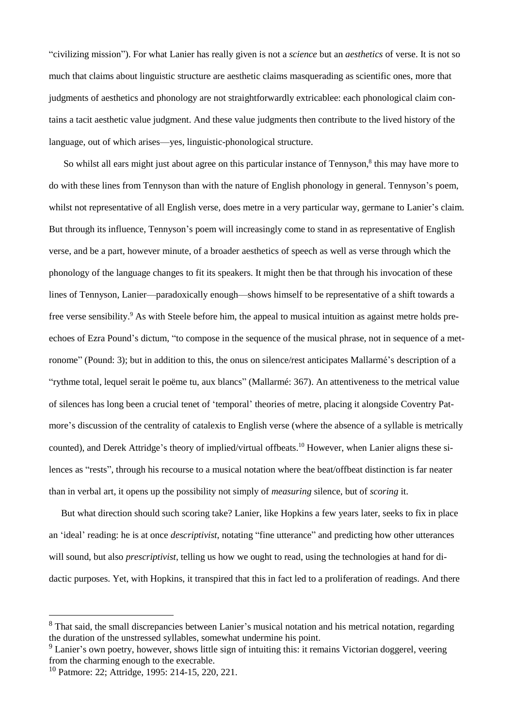"civilizing mission"). For what Lanier has really given is not a *science* but an *aesthetics* of verse. It is not so much that claims about linguistic structure are aesthetic claims masquerading as scientific ones, more that judgments of aesthetics and phonology are not straightforwardly extricablee: each phonological claim contains a tacit aesthetic value judgment. And these value judgments then contribute to the lived history of the language, out of which arises—yes, linguistic-phonological structure.

So whilst all ears might just about agree on this particular instance of Tennyson,<sup>8</sup> this may have more to do with these lines from Tennyson than with the nature of English phonology in general. Tennyson's poem, whilst not representative of all English verse, does metre in a very particular way, germane to Lanier's claim. But through its influence, Tennyson's poem will increasingly come to stand in as representative of English verse, and be a part, however minute, of a broader aesthetics of speech as well as verse through which the phonology of the language changes to fit its speakers. It might then be that through his invocation of these lines of Tennyson, Lanier—paradoxically enough—shows himself to be representative of a shift towards a free verse sensibility.<sup>9</sup> As with Steele before him, the appeal to musical intuition as against metre holds preechoes of Ezra Pound's dictum, "to compose in the sequence of the musical phrase, not in sequence of a metronome" (Pound: 3); but in addition to this, the onus on silence/rest anticipates Mallarmé's description of a "rythme total, lequel serait le poëme tu, aux blancs" (Mallarmé: 367). An attentiveness to the metrical value of silences has long been a crucial tenet of 'temporal' theories of metre, placing it alongside Coventry Patmore's discussion of the centrality of catalexis to English verse (where the absence of a syllable is metrically counted), and Derek Attridge's theory of implied/virtual offbeats.<sup>10</sup> However, when Lanier aligns these silences as "rests", through his recourse to a musical notation where the beat/offbeat distinction is far neater than in verbal art, it opens up the possibility not simply of *measuring* silence, but of *scoring* it.

But what direction should such scoring take? Lanier, like Hopkins a few years later, seeks to fix in place an 'ideal' reading: he is at once *descriptivist*, notating "fine utterance" and predicting how other utterances will sound, but also *prescriptivist*, telling us how we ought to read, using the technologies at hand for didactic purposes. Yet, with Hopkins, it transpired that this in fact led to a proliferation of readings. And there

<sup>&</sup>lt;sup>8</sup> That said, the small discrepancies between Lanier's musical notation and his metrical notation, regarding the duration of the unstressed syllables, somewhat undermine his point.

<sup>&</sup>lt;sup>9</sup> Lanier's own poetry, however, shows little sign of intuiting this: it remains Victorian doggerel, veering from the charming enough to the execrable.

<sup>10</sup> Patmore: 22; Attridge, 1995: 214-15, 220, 221.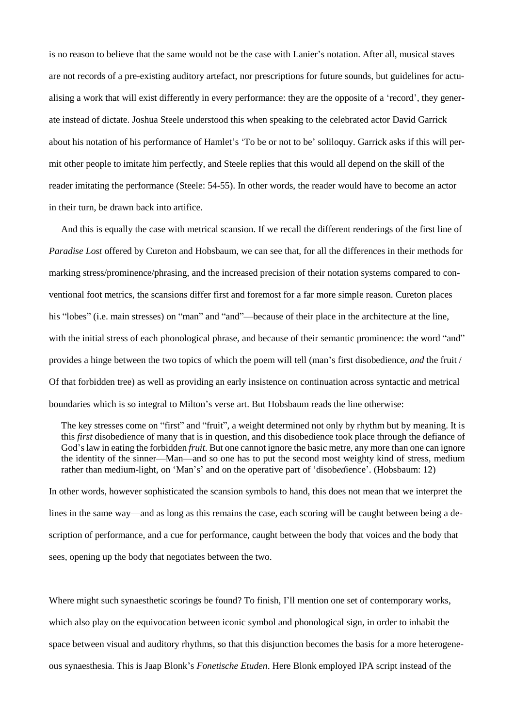is no reason to believe that the same would not be the case with Lanier's notation. After all, musical staves are not records of a pre-existing auditory artefact, nor prescriptions for future sounds, but guidelines for actualising a work that will exist differently in every performance: they are the opposite of a 'record', they generate instead of dictate. Joshua Steele understood this when speaking to the celebrated actor David Garrick about his notation of his performance of Hamlet's 'To be or not to be' soliloquy. Garrick asks if this will permit other people to imitate him perfectly, and Steele replies that this would all depend on the skill of the reader imitating the performance (Steele: 54-55). In other words, the reader would have to become an actor in their turn, be drawn back into artifice.

And this is equally the case with metrical scansion. If we recall the different renderings of the first line of *Paradise Lost* offered by Cureton and Hobsbaum, we can see that, for all the differences in their methods for marking stress/prominence/phrasing, and the increased precision of their notation systems compared to conventional foot metrics, the scansions differ first and foremost for a far more simple reason. Cureton places his "lobes" (i.e. main stresses) on "man" and "and"—because of their place in the architecture at the line, with the initial stress of each phonological phrase, and because of their semantic prominence: the word "and" provides a hinge between the two topics of which the poem will tell (man's first disobedience, *and* the fruit / Of that forbidden tree) as well as providing an early insistence on continuation across syntactic and metrical boundaries which is so integral to Milton's verse art. But Hobsbaum reads the line otherwise:

The key stresses come on "first" and "fruit", a weight determined not only by rhythm but by meaning. It is this *first* disobedience of many that is in question, and this disobedience took place through the defiance of God's law in eating the forbidden *fruit*. But one cannot ignore the basic metre, any more than one can ignore the identity of the sinner—Man—and so one has to put the second most weighty kind of stress, medium rather than medium-light, on 'Man's' and on the operative part of 'disob*ed*ience'. (Hobsbaum: 12)

In other words, however sophisticated the scansion symbols to hand, this does not mean that we interpret the lines in the same way—and as long as this remains the case, each scoring will be caught between being a description of performance, and a cue for performance, caught between the body that voices and the body that sees, opening up the body that negotiates between the two.

Where might such synaesthetic scorings be found? To finish, I'll mention one set of contemporary works, which also play on the equivocation between iconic symbol and phonological sign, in order to inhabit the space between visual and auditory rhythms, so that this disjunction becomes the basis for a more heterogeneous synaesthesia. This is Jaap Blonk's *Fonetische Etuden*. Here Blonk employed IPA script instead of the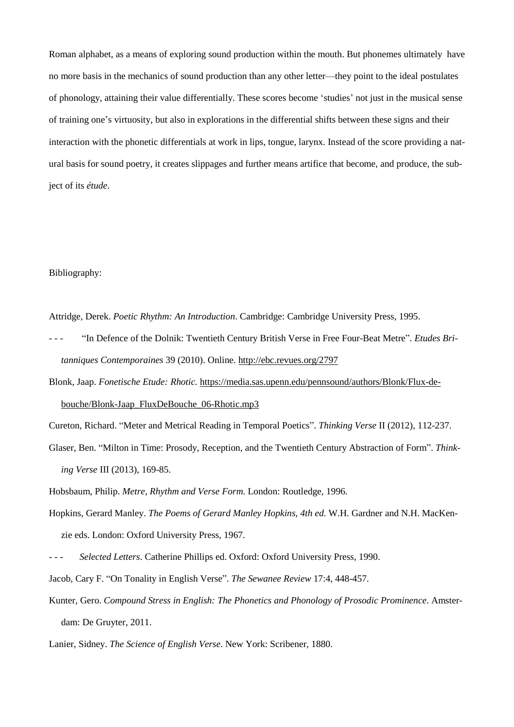Roman alphabet, as a means of exploring sound production within the mouth. But phonemes ultimately have no more basis in the mechanics of sound production than any other letter—they point to the ideal postulates of phonology, attaining their value differentially. These scores become 'studies' not just in the musical sense of training one's virtuosity, but also in explorations in the differential shifts between these signs and their interaction with the phonetic differentials at work in lips, tongue, larynx. Instead of the score providing a natural basis for sound poetry, it creates slippages and further means artifice that become, and produce, the subject of its *étude*.

## Bibliography:

Attridge, Derek. *Poetic Rhythm: An Introduction*. Cambridge: Cambridge University Press, 1995.

- "In Defence of the Dolnik: Twentieth Century British Verse in Free Four-Beat Metre". *Etudes Britanniques Contemporaines* 39 (2010). Online. <http://ebc.revues.org/2797>
- Blonk, Jaap. *Fonetische Etude: Rhotic.* [https://media.sas.upenn.edu/pennsound/authors/Blonk/Flux-de](https://media.sas.upenn.edu/pennsound/authors/Blonk/Flux-de-bouche/Blonk-Jaap_FluxDeBouche_06-Rhotic.mp3)[bouche/Blonk-Jaap\\_FluxDeBouche\\_06-Rhotic.mp3](https://media.sas.upenn.edu/pennsound/authors/Blonk/Flux-de-bouche/Blonk-Jaap_FluxDeBouche_06-Rhotic.mp3)

Cureton, Richard. "Meter and Metrical Reading in Temporal Poetics". *Thinking Verse* II (2012), 112-237.

Glaser, Ben. "Milton in Time: Prosody, Reception, and the Twentieth Century Abstraction of Form". *Thinking Verse* III (2013), 169-85.

Hobsbaum, Philip. *Metre, Rhythm and Verse Form.* London: Routledge, 1996.

- Hopkins, Gerard Manley. *The Poems of Gerard Manley Hopkins, 4th ed.* W.H. Gardner and N.H. MacKenzie eds. London: Oxford University Press, 1967.
- - *Selected Letters*. Catherine Phillips ed. Oxford: Oxford University Press, 1990.
- Jacob, Cary F. "On Tonality in English Verse". *The Sewanee Review* 17:4, 448-457.
- Kunter, Gero. *Compound Stress in English: The Phonetics and Phonology of Prosodic Prominence*. Amsterdam: De Gruyter, 2011.

Lanier, Sidney. *The Science of English Verse*. New York: Scribener, 1880.